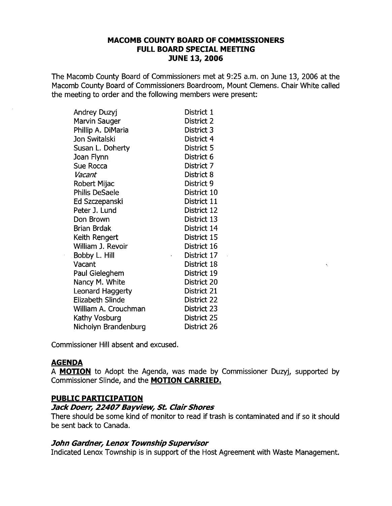## **MACOMB COUNTY BOARD OF COMMISSIONERS FULL BOARD SPECIAL MEET[NG JUNE 13, 2006**

The Macomb County Board of Commissioners met at 9:25 a.m. on June 13, 2006 at the Macomb County Board of Commissioners Boardroom, Mount Clemens. Chair White called the meeting to order and the following members were present:

| Andrey Duzyj            | District 1  |
|-------------------------|-------------|
| Marvin Sauger           | District 2  |
| Phillip A. DiMaria      | District 3  |
| Jon Switalski           | District 4  |
| Susan L. Doherty        | District 5  |
| Joan Flynn              | District 6  |
| Sue Rocca               | District 7  |
| Vacant                  | District 8  |
| Robert Mijac            | District 9  |
| <b>Philis DeSaele</b>   | District 10 |
| Ed Szczepanski          | District 11 |
| Peter J. Lund           | District 12 |
| Don Brown               | District 13 |
| <b>Brian Brdak</b>      | District 14 |
| Keith Rengert           | District 15 |
| William J. Revoir       | District 16 |
| Bobby L. Hill           | District 17 |
| Vacant                  | District 18 |
| Paul Gieleghem          | District 19 |
| Nancy M. White          | District 20 |
| Leonard Haggerty        | District 21 |
| <b>Elizabeth Slinde</b> | District 22 |
| William A. Crouchman    | District 23 |
| Kathy Vosburg           | District 25 |
| Nicholyn Brandenburg    | District 26 |

Commissioner Hill absent and excused.

# **AGENDA**

A **MOTION** to Adopt the Agenda, was made by Commissioner Duzyj, supported by Commissioner Slinde, and the **MOTION CARRIED.** 

# **PUBLIC PARTICIPATION**

### **Jack Doerr, 22407 Bayview, St. Clair Shores**

There should be some kind of monitor to read if trash is contaminated and if so it should be sent back to Canada.

### **John Gardner, Lenox Township Supervisor**

Indicated Lenox Township is in support of the Host Agreement with Waste Management.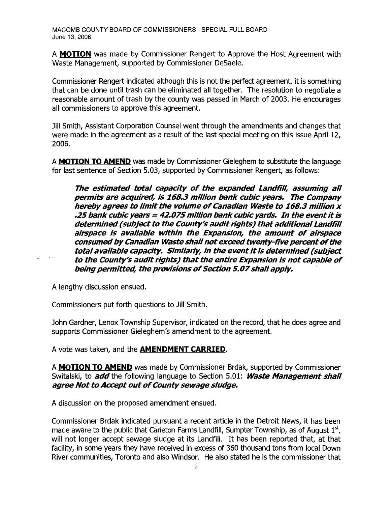A **MOTION** was made by Commissioner Rengert to Approve the Host Agreement with Waste Management, supported by Commissioner DeSaele.

Commissioner Rengert indicated although this is not the perfect agreement, it is something that can be done until trash can be eliminated all together. The resolution to negotiate a reasonable amount of trash by the county was passed in March of 2003. He encourages all commissioners to approve this agreement.

Jill Smith, Assistant Corporation Counsel went through the amendments and changes that were made in the agreement as a result of the last special meeting on this issue April 12, 2006.

A **MOTION TO AMEND** was made by Commissioner Gieleghem to substitute the language for last sentence of Section 5.03, supported by Commissioner Rengert, as follows:

**The estimated total capacity of the expanded Landfill, assuming all permits are acquired, is 168.3 million bank cubic years. The Company**  hereby agrees **to limit the volume ofCanadian Waste to 168.3 million x .25bank cubic years = 42.075 million bankcubicyards. In the eventitis determined (subject to the County's audit rights) that additional Landfill airspace is available within the Expansion, the amount of airspace consumed by Canadian Waste shall not exceed twenty-five percent of the total available capacity. Similarly, in the eventitis determined (subject**  to the County's audit rights) that the entire Expansion is not capable of **being permitted, the provisions of Section 5.07 shall apply.** 

A lengthy discussion ensued.

Commissioners put forth questions to Jill Smith.

John Gardner, Lenox Township Supervisor, indicated on the record, that he does agree and supports Commissioner Gieleghem's amendment to the agreement.

A vote was taken, and the **AMENDMENT CARRIED.** 

A **MOTION TO AMEND** was made by Commissioner Brdak, supported by Commissioner Switalski, to **add** the following language to Section 5.01: **Waste Management shall** agree Not to Accept out of County sewage sludge.

A discussion on the proposed amendment ensued.

Commissioner Brdak indicated pursuant a recent article in the Detroit News, it has been made aware to the public that Carleton Farms Landfill, Sumpter Township, as of August  $1<sup>st</sup>$ , will not longer accept sewage sludge at its Landfill. It has been reported that, at that facility, in some years they have received in excess of 360 thousand tons from local Down River communities, Toronto and also Windsor. He also stated he is the commissioner that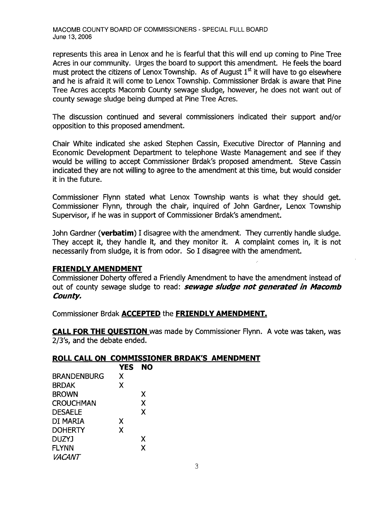represents this area in Lenox and he is fearful that this will end up coming to Pine Tree Acres in our community. Urges the board to support this amendment. He feels the board must protect the citizens of Lenox Township. As of August  $1<sup>st</sup>$  it will have to go elsewhere and he is afraid it will come to Lenox Township. Commissioner Brdak is aware that Pine Tree Acres accepts Macomb County sewage sludge, however, he does not want out of county sewage sludge being dumped at Pine Tree Acres.

The discussion continued and several commissioners indicated their support and/or opposition to this proposed amendment.

Chair White indicated she asked Stephen Cassin, Executive Director of Planning and Economic Development Department to telephone Waste Management and see if they would be willing to accept Commissioner Brdak's proposed amendment. Steve Cassin indicated they are not willing to agree to the amendment at this time, but would consider it in the future.

Commissioner Flynn stated what Lenox Township wants is what they should get. Commissioner Flynn, through the chair, inquired of John Gardner, Lenox Township Supervisor, if he was in support of Commissioner Brdak's amendment.

John Gardner **(verbatim)** I disagree with the amendment. They currently handle sludge. They accept it, they handle it, and they monitor it. A complaint comes in, it is not necessarily from sludge, it is from odor. So I disagree with the amendment.

# **FRIENDLY AMENDMENT**

Commissioner Doherty offered a Friendly Amendment to have the amendment instead of out of county sewage sludge to read: **sewage sludge not generated in Macomb County.** 

Commissioner Brdak **ACCEPTED** the **FRIENDLY AMENDMENT.** 

**CALL FOR THE OUESTION** was made by Commissioner Flynn. A vote was taken, was 2/3's, and the debate ended.

# **ROLL CALL ON COMMISSIONER BRDAK'S AMENDMENT**

|                    | <b>YES</b> | <b>NO</b> |
|--------------------|------------|-----------|
| <b>BRANDENBURG</b> | X          |           |
| <b>BRDAK</b>       | X          |           |
| <b>BROWN</b>       |            | X         |
| <b>CROUCHMAN</b>   |            | X         |
| <b>DESAELE</b>     |            | X         |
| DI MARIA           | X          |           |
| <b>DOHERTY</b>     | X          |           |
| <b>DUZYJ</b>       |            | X         |
| <b>FLYNN</b>       |            | X         |
| <i>VACANT</i>      |            |           |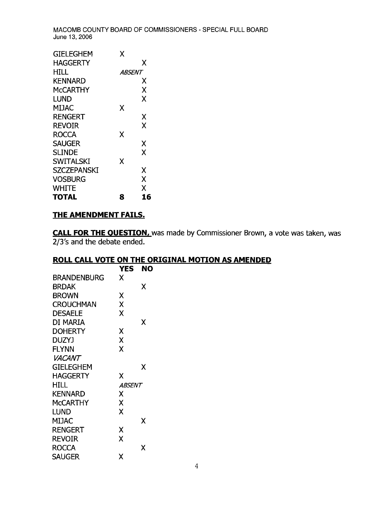| TOTAL              | 8             | 16 |
|--------------------|---------------|----|
| WHITE              |               | X  |
| <b>VOSBURG</b>     |               | X  |
| <b>SZCZEPANSKI</b> |               | X  |
| SWITALSKI          | χ             |    |
| <b>SLINDE</b>      |               | X  |
| <b>SAUGER</b>      |               | χ  |
| ROCCA              | x             |    |
| <b>REVOIR</b>      |               | X  |
| <b>RENGERT</b>     |               | χ  |
| MIJAC              | x             |    |
| lund               |               | χ  |
| McCARTHY           |               | x  |
| KENNARD            |               | х  |
| HILL               | <i>ABSENT</i> |    |
| <b>HAGGERTY</b>    |               | χ  |
| GIELEGHEM          | χ             |    |

### **THE AMENDMENT FAILS.**

**CALL FOR THE OUESTION,** was made by Commissioner Brown, a vote was taken, was 2/3's and the debate ended.

# **ROLL CALL VOTE ON THE ORIGINAL MOTION AS AMENDED**

|                  | <b>YES</b>           | NO |
|------------------|----------------------|----|
| BRANDENBURG      | x                    |    |
| <b>BRDAK</b>     |                      | χ  |
| <b>BROWN</b>     | χ                    |    |
| <b>CROUCHMAN</b> | X                    |    |
| <b>DESAELE</b>   | X                    |    |
| di Maria         |                      | x  |
| <b>DOHERTY</b>   | χ                    |    |
| <b>DUZYJ</b>     | X                    |    |
| <b>FLYNN</b>     | X                    |    |
| <i>VACANT</i>    |                      |    |
| <b>GIELEGHEM</b> |                      | χ  |
| <b>HAGGERTY</b>  | X                    |    |
| HILL             | <i><b>ABSENT</b></i> |    |
| <b>KENNARD</b>   | Χ                    |    |
| McCARTHY         | X                    |    |
| LUND             | X                    |    |
| <b>MIJAC</b>     |                      | X  |
| <b>RENGERT</b>   | Χ                    |    |
| <b>REVOIR</b>    | X                    |    |
| <b>ROCCA</b>     |                      | x  |
| <b>SAUGER</b>    | χ                    |    |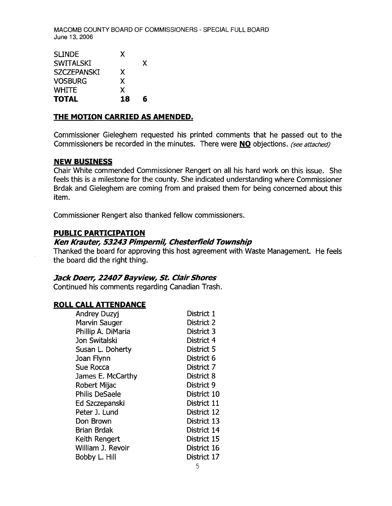| <b>SLINDE</b>      | X  |   |
|--------------------|----|---|
| <b>SWITALSKI</b>   |    | X |
| <b>SZCZEPANSKI</b> | X  |   |
| <b>VOSBURG</b>     | X  |   |
| <b>WHITE</b>       | X  |   |
| <b>TOTAL</b>       | 18 | R |

## **"rHE MOTION CARRIED AS AMENDED.**

Commissioner Gieleghem requested his printed comments that he passed out to the Commissioners be recorded in the minutes. There were **NO** objections. *(see attached)* 

#### **NEW BUSINESS**

Chair White commended Commissioner Rengert on all his hard work on this issue. She feels this is a milestone for the county. She indicated understanding where Commissioner Brdak and Gieleghem are coming from and praised them for being concerned about this item.

Commissioner Rengert also thanked fellow commissioners.

### **PUBLIC PARTICIPATION**

### **Ken Krauter, 53243 PimperniJ, Chesterfield Township**

Thanked the board for approving this host agreement with Waste Management. He feels the board did the right thing.

### **Jack Doerr, 22407 Bayview, St. Clair Shores**

Continued his comments regarding Canadian Trash.

#### **ROLL CALL ATTENDANCE**

| <b>Andrey Duzyj</b>   | District 1  |
|-----------------------|-------------|
| Marvin Sauger         | District 2  |
| Phillip A. DiMaria    | District 3  |
| Jon Switalski         | District 4  |
| Susan L. Doherty      | District 5  |
| Joan Flynn            | District 6  |
| Sue Rocca             | District 7  |
| James E. McCarthy     | District 8  |
| Robert Mijac          | District 9  |
| <b>Philis DeSaele</b> | District 10 |
| Ed Szczepanski        | District 11 |
| Peter J. Lund         | District 12 |
| Don Brown             | District 13 |
| Brian Brdak           | District 14 |
| Keith Rengert         | District 15 |
| William J. Revoir     | District 16 |
| Bobby L. Hill         | District 17 |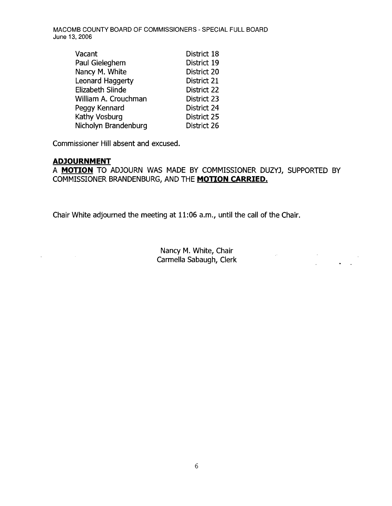| Vacant               | District 18 |
|----------------------|-------------|
| Paul Gieleghem       | District 19 |
| Nancy M. White       | District 20 |
| Leonard Haggerty     | District 21 |
| Elizabeth Slinde     | District 22 |
| William A. Crouchman | District 23 |
| Peggy Kennard        | District 24 |
| Kathy Vosburg        | District 25 |
| Nicholyn Brandenburg | District 26 |

Commissioner Hill absent and excused.

#### **ADJOURNMENT**

 $\Delta \phi = 0.01$  and  $\phi = 0.01$ 

A **MOTION** TO ADJOURN WAS MADE BY COMMISSIONER DUZYJ, SUPPORTED BY COMMISSIONER BRANDENBURG, AND THE **MOTION CARRIED.** 

Chair White adjourned the meeting at 11:06 a.m., until the call of the Chair.

Nancy M. White, Chair Carmella Sabaugh, Clerk

 $\mathcal{L}_{\text{max}}$  and  $\mathcal{L}_{\text{max}}$ 

 $\sim 100$  km s  $^{-1}$ 

 $\frac{1}{2} \left( \frac{1}{2} \right) \left( \frac{1}{2} \right) \frac{1}{2} \left( \frac{1}{2} \right)$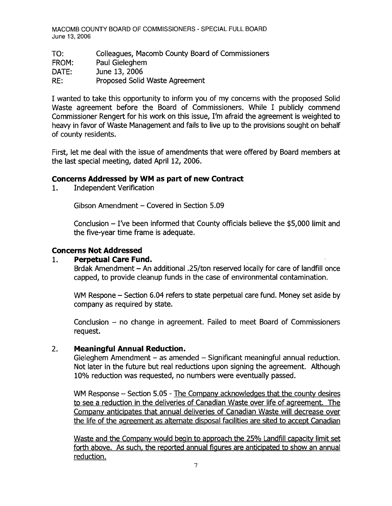TO: Colleagues, Macomb County Board of Commissioners FROM: Paul Gieleghem DATE: June 13, 2006 RE: Proposed Solid Waste Agreement

I wanted to take this opportunity to inform you of my concerns with the proposed Solid Waste agreement before the Board of Commissioners. While I publicly commend Commissioner Rengert for his work on this issue, I'm afraid the agreement is weighted to heavy in favor of Waste Management and fails to live up to the provisions sought on behalf of county residents.

First, let me deal with the issue of amendments that were offered by Board members at the last special meeting, dated April 12, 2006.

## **Concerns Addressed by WM as part of new Contract**

1. Independent Verification

Gibson Amendment - Covered in Section 5.09

Conclusion  $-$  I've been informed that County officials believe the \$5,000 limit and the five-year time frame is adequate.

## **Concerns Not Addressed**

### 1. **Perpetual Care Fund.** .

Brdak Amendment - An additional .25/ton reserved locally for care of landfill once capped, to provide cleanup funds in the case of environmental contamination.

WM Respone - Section 6.04 refers to state perpetual care fund. Money set aside by company as required by state.

Conclusion - no change in agreement. Failed to meet Board of Commissioners request.

### 2. **Meaningful Annual Reduction.**

Gieleghem Amendment  $-$  as amended  $-$  Significant meaningful annual reduction. Not later in the future but real reductions upon signing the agreement. Although 10% reduction was requested, no numbers were eventually passed.

WM Response - Section 5.05 - The Company acknowledges that the county desires to see a reduction in the deliveries of Canadian Waste over life of agreement. The Company anticipates that annual deliveries of Canadian Waste will decrease over the life of the agreement as alternate disposal facilities are sited to accept Canadian

Waste and the Company would begin to approach the 25% Landfill capacity limit set forth above. As such, the reported annual figures are anticipated to show an annual reduction.